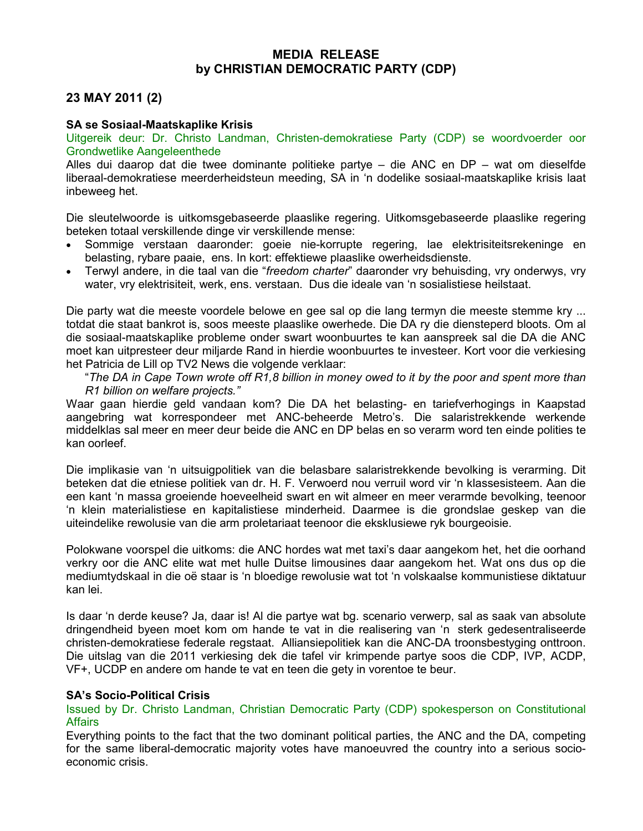## MEDIA RELEASE by CHRISTIAN DEMOCRATIC PARTY (CDP)

## 23 MAY 2011 (2)

## SA se Sosiaal-Maatskaplike Krisis

Uitgereik deur: Dr. Christo Landman, Christen-demokratiese Party (CDP) se woordvoerder oor Grondwetlike Aangeleenthede

Alles dui daarop dat die twee dominante politieke partye – die ANC en DP – wat om dieselfde liberaal-demokratiese meerderheidsteun meeding, SA in 'n dodelike sosiaal-maatskaplike krisis laat inbeweeg het.

Die sleutelwoorde is uitkomsgebaseerde plaaslike regering. Uitkomsgebaseerde plaaslike regering beteken totaal verskillende dinge vir verskillende mense:

- Sommige verstaan daaronder: goeie nie-korrupte regering, lae elektrisiteitsrekeninge en belasting, rybare paaie, ens. In kort: effektiewe plaaslike owerheidsdienste.
- Terwyl andere, in die taal van die "freedom charter" daaronder vry behuisding, vry onderwys, vry water, vry elektrisiteit, werk, ens. verstaan. Dus die ideale van 'n sosialistiese heilstaat.

Die party wat die meeste voordele belowe en gee sal op die lang termyn die meeste stemme kry ... totdat die staat bankrot is, soos meeste plaaslike owerhede. Die DA ry die diensteperd bloots. Om al die sosiaal-maatskaplike probleme onder swart woonbuurtes te kan aanspreek sal die DA die ANC moet kan uitpresteer deur miljarde Rand in hierdie woonbuurtes te investeer. Kort voor die verkiesing het Patricia de Lill op TV2 News die volgende verklaar:

"The DA in Cape Town wrote off R1,8 billion in money owed to it by the poor and spent more than R1 billion on welfare projects."

Waar gaan hierdie geld vandaan kom? Die DA het belasting- en tariefverhogings in Kaapstad aangebring wat korrespondeer met ANC-beheerde Metro's. Die salaristrekkende werkende middelklas sal meer en meer deur beide die ANC en DP belas en so verarm word ten einde polities te kan oorleef.

Die implikasie van 'n uitsuigpolitiek van die belasbare salaristrekkende bevolking is verarming. Dit beteken dat die etniese politiek van dr. H. F. Verwoerd nou verruil word vir 'n klassesisteem. Aan die een kant 'n massa groeiende hoeveelheid swart en wit almeer en meer verarmde bevolking, teenoor 'n klein materialistiese en kapitalistiese minderheid. Daarmee is die grondslae geskep van die uiteindelike rewolusie van die arm proletariaat teenoor die eksklusiewe ryk bourgeoisie.

Polokwane voorspel die uitkoms: die ANC hordes wat met taxi's daar aangekom het, het die oorhand verkry oor die ANC elite wat met hulle Duitse limousines daar aangekom het. Wat ons dus op die mediumtydskaal in die oë staar is 'n bloedige rewolusie wat tot 'n volskaalse kommunistiese diktatuur kan lei.

Is daar 'n derde keuse? Ja, daar is! Al die partye wat bg. scenario verwerp, sal as saak van absolute dringendheid byeen moet kom om hande te vat in die realisering van 'n sterk gedesentraliseerde christen-demokratiese federale regstaat. Alliansiepolitiek kan die ANC-DA troonsbestyging onttroon. Die uitslag van die 2011 verkiesing dek die tafel vir krimpende partye soos die CDP, IVP, ACDP, VF+, UCDP en andere om hande te vat en teen die gety in vorentoe te beur.

## SA's Socio-Political Crisis

Issued by Dr. Christo Landman, Christian Democratic Party (CDP) spokesperson on Constitutional **Affairs** 

Everything points to the fact that the two dominant political parties, the ANC and the DA, competing for the same liberal-democratic majority votes have manoeuvred the country into a serious socioeconomic crisis.